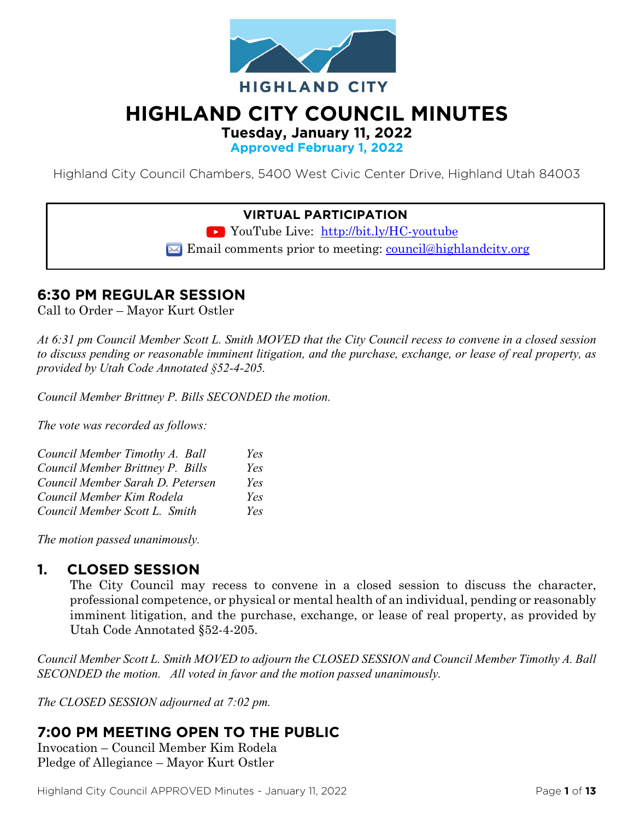

# **HIGHLAND CITY COUNCIL MINUTES**

**Tuesday, January 11, 2022**

**Approved February 1, 2022**

Highland City Council Chambers, 5400 West Civic Center Drive, Highland Utah 84003

### **VIRTUAL PARTICIPATION**

YouTube Live: <http://bit.ly/HC-youtube>

 $\boxtimes$  Email comments prior to meeting: [council@highlandcity.org](mailto:council@highlandcity.org)

## **6:30 PM REGULAR SESSION**

Call to Order – Mayor Kurt Ostler

*At 6:31 pm Council Member Scott L. Smith MOVED that the City Council recess to convene in a closed session to discuss pending or reasonable imminent litigation, and the purchase, exchange, or lease of real property, as provided by Utah Code Annotated §52-4-205.* 

*Council Member Brittney P. Bills SECONDED the motion.*

*The vote was recorded as follows:*

| Council Member Timothy A. Ball   | Yes  |
|----------------------------------|------|
| Council Member Brittney P. Bills | Yes  |
| Council Member Sarah D. Petersen | Yes  |
| Council Member Kim Rodela        | Yes  |
| Council Member Scott L. Smith    | Yes. |

*The motion passed unanimously.*

### **1. CLOSED SESSION**

The City Council may recess to convene in a closed session to discuss the character, professional competence, or physical or mental health of an individual, pending or reasonably imminent litigation, and the purchase, exchange, or lease of real property, as provided by Utah Code Annotated §52-4-205.

*Council Member Scott L. Smith MOVED to adjourn the CLOSED SESSION and Council Member Timothy A. Ball SECONDED the motion. All voted in favor and the motion passed unanimously.* 

*The CLOSED SESSION adjourned at 7:02 pm.*

## **7:00 PM MEETING OPEN TO THE PUBLIC**

Invocation – Council Member Kim Rodela Pledge of Allegiance – Mayor Kurt Ostler

Highland City Council APPROVED Minutes ~ January 11, 2022 Page **1** of **13**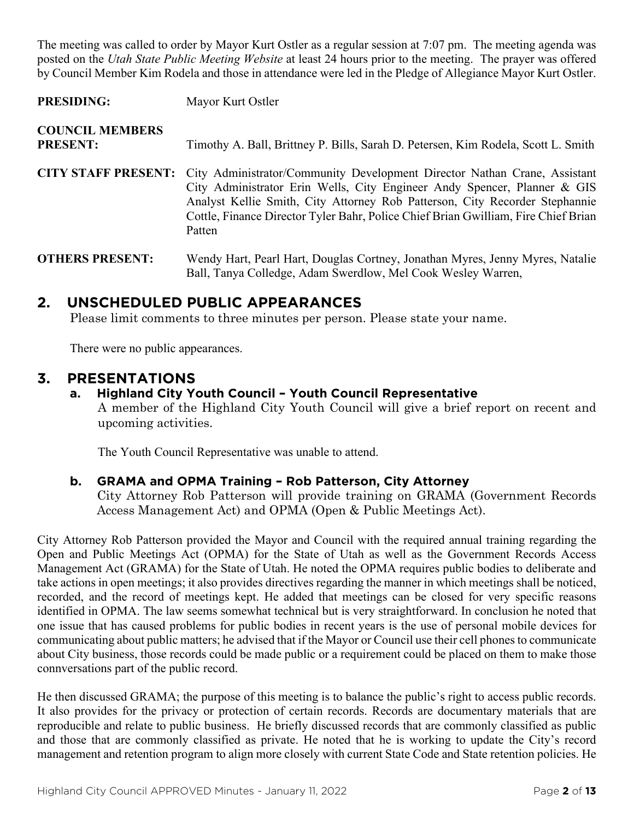The meeting was called to order by Mayor Kurt Ostler as a regular session at 7:07 pm. The meeting agenda was posted on the *Utah State Public Meeting Website* at least 24 hours prior to the meeting. The prayer was offered by Council Member Kim Rodela and those in attendance were led in the Pledge of Allegiance Mayor Kurt Ostler.

PRESIDING: Mayor Kurt Ostler

| <b>COUNCIL MEMBERS</b><br><b>PRESENT:</b> | Timothy A. Ball, Brittney P. Bills, Sarah D. Petersen, Kim Rodela, Scott L. Smith                                                                                                                                                                                                                                                    |
|-------------------------------------------|--------------------------------------------------------------------------------------------------------------------------------------------------------------------------------------------------------------------------------------------------------------------------------------------------------------------------------------|
| <b>CITY STAFF PRESENT:</b>                | City Administrator/Community Development Director Nathan Crane, Assistant<br>City Administrator Erin Wells, City Engineer Andy Spencer, Planner & GIS<br>Analyst Kellie Smith, City Attorney Rob Patterson, City Recorder Stephannie<br>Cottle, Finance Director Tyler Bahr, Police Chief Brian Gwilliam, Fire Chief Brian<br>Patten |
| <b>OTHERS PRESENT:</b>                    | Wendy Hart, Pearl Hart, Douglas Cortney, Jonathan Myres, Jenny Myres, Natalie<br>Ball, Tanya Colledge, Adam Swerdlow, Mel Cook Wesley Warren,                                                                                                                                                                                        |

## **2. UNSCHEDULED PUBLIC APPEARANCES**

Please limit comments to three minutes per person. Please state your name.

There were no public appearances.

### **3. PRESENTATIONS**

### **a. Highland City Youth Council – Youth Council Representative**

A member of the Highland City Youth Council will give a brief report on recent and upcoming activities.

The Youth Council Representative was unable to attend.

### **b. GRAMA and OPMA Training – Rob Patterson, City Attorney**

City Attorney Rob Patterson will provide training on GRAMA (Government Records Access Management Act) and OPMA (Open & Public Meetings Act).

City Attorney Rob Patterson provided the Mayor and Council with the required annual training regarding the Open and Public Meetings Act (OPMA) for the State of Utah as well as the Government Records Access Management Act (GRAMA) for the State of Utah. He noted the OPMA requires public bodies to deliberate and take actions in open meetings; it also provides directives regarding the manner in which meetings shall be noticed, recorded, and the record of meetings kept. He added that meetings can be closed for very specific reasons identified in OPMA. The law seems somewhat technical but is very straightforward. In conclusion he noted that one issue that has caused problems for public bodies in recent years is the use of personal mobile devices for communicating about public matters; he advised that if the Mayor or Council use their cell phones to communicate about City business, those records could be made public or a requirement could be placed on them to make those connversations part of the public record.

He then discussed GRAMA; the purpose of this meeting is to balance the public's right to access public records. It also provides for the privacy or protection of certain records. Records are documentary materials that are reproducible and relate to public business. He briefly discussed records that are commonly classified as public and those that are commonly classified as private. He noted that he is working to update the City's record management and retention program to align more closely with current State Code and State retention policies. He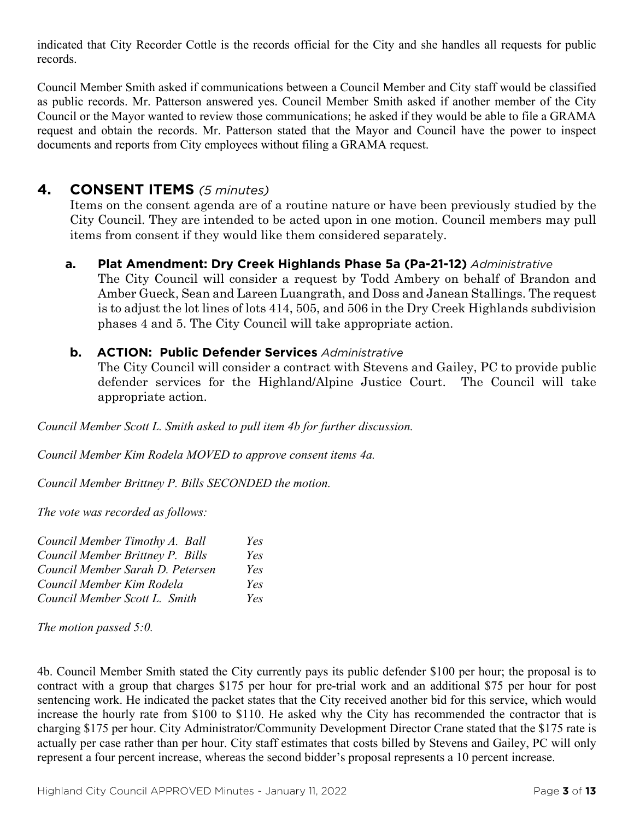indicated that City Recorder Cottle is the records official for the City and she handles all requests for public records.

Council Member Smith asked if communications between a Council Member and City staff would be classified as public records. Mr. Patterson answered yes. Council Member Smith asked if another member of the City Council or the Mayor wanted to review those communications; he asked if they would be able to file a GRAMA request and obtain the records. Mr. Patterson stated that the Mayor and Council have the power to inspect documents and reports from City employees without filing a GRAMA request.

## **4. CONSENT ITEMS** *(5 minutes)*

Items on the consent agenda are of a routine nature or have been previously studied by the City Council. They are intended to be acted upon in one motion. Council members may pull items from consent if they would like them considered separately.

### **a. Plat Amendment: Dry Creek Highlands Phase 5a (Pa-21-12)** *Administrative*

The City Council will consider a request by Todd Ambery on behalf of Brandon and Amber Gueck, Sean and Lareen Luangrath, and Doss and Janean Stallings. The request is to adjust the lot lines of lots 414, 505, and 506 in the Dry Creek Highlands subdivision phases 4 and 5. The City Council will take appropriate action.

### **b. ACTION: Public Defender Services** *Administrative*

The City Council will consider a contract with Stevens and Gailey, PC to provide public defender services for the Highland/Alpine Justice Court. The Council will take appropriate action.

*Council Member Scott L. Smith asked to pull item 4b for further discussion.*

*Council Member Kim Rodela MOVED to approve consent items 4a.*

*Council Member Brittney P. Bills SECONDED the motion.*

*The vote was recorded as follows:*

| Council Member Timothy A. Ball   | Yes |
|----------------------------------|-----|
| Council Member Brittney P. Bills | Yes |
| Council Member Sarah D. Petersen | Yes |
| Council Member Kim Rodela        | Yes |
| Council Member Scott L. Smith    | Yes |

*The motion passed 5:0.* 

4b. Council Member Smith stated the City currently pays its public defender \$100 per hour; the proposal is to contract with a group that charges \$175 per hour for pre-trial work and an additional \$75 per hour for post sentencing work. He indicated the packet states that the City received another bid for this service, which would increase the hourly rate from \$100 to \$110. He asked why the City has recommended the contractor that is charging \$175 per hour. City Administrator/Community Development Director Crane stated that the \$175 rate is actually per case rather than per hour. City staff estimates that costs billed by Stevens and Gailey, PC will only represent a four percent increase, whereas the second bidder's proposal represents a 10 percent increase.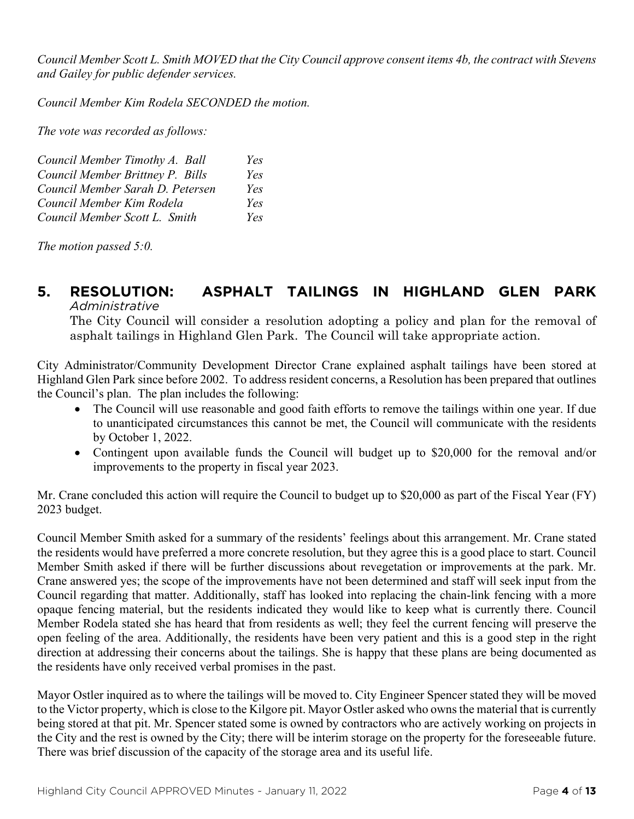*Council Member Scott L. Smith MOVED that the City Council approve consent items 4b, the contract with Stevens and Gailey for public defender services.*

*Council Member Kim Rodela SECONDED the motion.*

*The vote was recorded as follows:*

| Council Member Timothy A. Ball   | Yes |
|----------------------------------|-----|
| Council Member Brittney P. Bills | Yes |
| Council Member Sarah D. Petersen | Yes |
| Council Member Kim Rodela        | Yes |
| Council Member Scott L. Smith    | Yes |

*The motion passed 5:0.* 

# **5. RESOLUTION: ASPHALT TAILINGS IN HIGHLAND GLEN PARK**

*Administrative*

The City Council will consider a resolution adopting a policy and plan for the removal of asphalt tailings in Highland Glen Park. The Council will take appropriate action.

City Administrator/Community Development Director Crane explained asphalt tailings have been stored at Highland Glen Park since before 2002. To address resident concerns, a Resolution has been prepared that outlines the Council's plan. The plan includes the following:

- The Council will use reasonable and good faith efforts to remove the tailings within one year. If due to unanticipated circumstances this cannot be met, the Council will communicate with the residents by October 1, 2022.
- Contingent upon available funds the Council will budget up to \$20,000 for the removal and/or improvements to the property in fiscal year 2023.

Mr. Crane concluded this action will require the Council to budget up to \$20,000 as part of the Fiscal Year (FY) 2023 budget.

Council Member Smith asked for a summary of the residents' feelings about this arrangement. Mr. Crane stated the residents would have preferred a more concrete resolution, but they agree this is a good place to start. Council Member Smith asked if there will be further discussions about revegetation or improvements at the park. Mr. Crane answered yes; the scope of the improvements have not been determined and staff will seek input from the Council regarding that matter. Additionally, staff has looked into replacing the chain-link fencing with a more opaque fencing material, but the residents indicated they would like to keep what is currently there. Council Member Rodela stated she has heard that from residents as well; they feel the current fencing will preserve the open feeling of the area. Additionally, the residents have been very patient and this is a good step in the right direction at addressing their concerns about the tailings. She is happy that these plans are being documented as the residents have only received verbal promises in the past.

Mayor Ostler inquired as to where the tailings will be moved to. City Engineer Spencer stated they will be moved to the Victor property, which is close to the Kilgore pit. Mayor Ostler asked who owns the material that is currently being stored at that pit. Mr. Spencer stated some is owned by contractors who are actively working on projects in the City and the rest is owned by the City; there will be interim storage on the property for the foreseeable future. There was brief discussion of the capacity of the storage area and its useful life.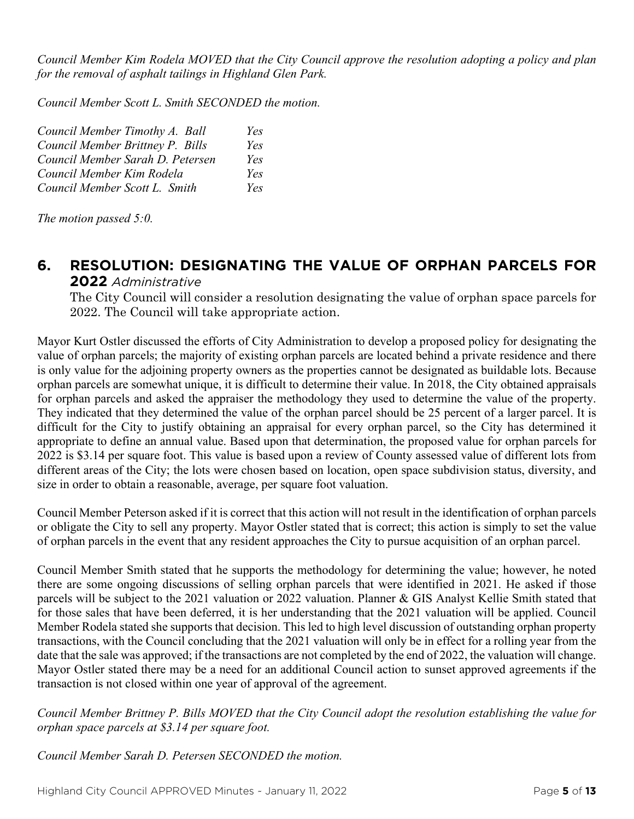*Council Member Kim Rodela MOVED that the City Council approve the resolution adopting a policy and plan for the removal of asphalt tailings in Highland Glen Park.*

*Council Member Scott L. Smith SECONDED the motion.*

| Council Member Timothy A. Ball   | Yes |
|----------------------------------|-----|
| Council Member Brittney P. Bills | Yes |
| Council Member Sarah D. Petersen | Yes |
| Council Member Kim Rodela        | Yes |
| Council Member Scott L. Smith    | Yes |

*The motion passed 5:0.* 

### **6. RESOLUTION: DESIGNATING THE VALUE OF ORPHAN PARCELS FOR 2022** *Administrative*

The City Council will consider a resolution designating the value of orphan space parcels for 2022. The Council will take appropriate action.

Mayor Kurt Ostler discussed the efforts of City Administration to develop a proposed policy for designating the value of orphan parcels; the majority of existing orphan parcels are located behind a private residence and there is only value for the adjoining property owners as the properties cannot be designated as buildable lots. Because orphan parcels are somewhat unique, it is difficult to determine their value. In 2018, the City obtained appraisals for orphan parcels and asked the appraiser the methodology they used to determine the value of the property. They indicated that they determined the value of the orphan parcel should be 25 percent of a larger parcel. It is difficult for the City to justify obtaining an appraisal for every orphan parcel, so the City has determined it appropriate to define an annual value. Based upon that determination, the proposed value for orphan parcels for 2022 is \$3.14 per square foot. This value is based upon a review of County assessed value of different lots from different areas of the City; the lots were chosen based on location, open space subdivision status, diversity, and size in order to obtain a reasonable, average, per square foot valuation.

Council Member Peterson asked if it is correct that this action will not result in the identification of orphan parcels or obligate the City to sell any property. Mayor Ostler stated that is correct; this action is simply to set the value of orphan parcels in the event that any resident approaches the City to pursue acquisition of an orphan parcel.

Council Member Smith stated that he supports the methodology for determining the value; however, he noted there are some ongoing discussions of selling orphan parcels that were identified in 2021. He asked if those parcels will be subject to the 2021 valuation or 2022 valuation. Planner & GIS Analyst Kellie Smith stated that for those sales that have been deferred, it is her understanding that the 2021 valuation will be applied. Council Member Rodela stated she supports that decision. This led to high level discussion of outstanding orphan property transactions, with the Council concluding that the 2021 valuation will only be in effect for a rolling year from the date that the sale was approved; if the transactions are not completed by the end of 2022, the valuation will change. Mayor Ostler stated there may be a need for an additional Council action to sunset approved agreements if the transaction is not closed within one year of approval of the agreement.

*Council Member Brittney P. Bills MOVED that the City Council adopt the resolution establishing the value for orphan space parcels at \$3.14 per square foot.*

*Council Member Sarah D. Petersen SECONDED the motion.*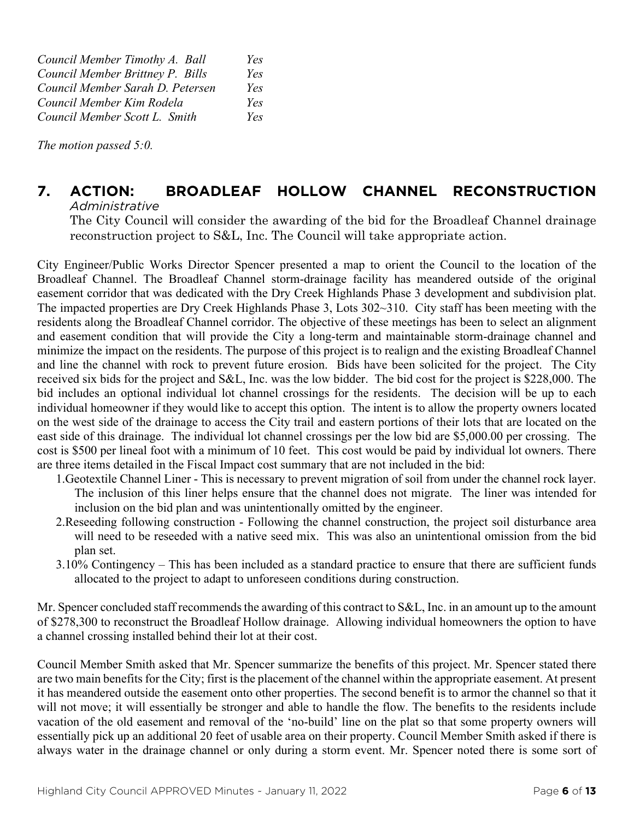*Council Member Timothy A. Ball Yes Council Member Brittney P. Bills Yes Council Member Sarah D. Petersen Yes Council Member Kim Rodela Yes Council Member Scott L. Smith Yes*

*The motion passed 5:0.* 

#### **7. ACTION: BROADLEAF HOLLOW CHANNEL RECONSTRUCTION** *Administrative*

The City Council will consider the awarding of the bid for the Broadleaf Channel drainage reconstruction project to S&L, Inc. The Council will take appropriate action.

City Engineer/Public Works Director Spencer presented a map to orient the Council to the location of the Broadleaf Channel. The Broadleaf Channel storm-drainage facility has meandered outside of the original easement corridor that was dedicated with the Dry Creek Highlands Phase 3 development and subdivision plat. The impacted properties are Dry Creek Highlands Phase 3, Lots 302~310. City staff has been meeting with the residents along the Broadleaf Channel corridor. The objective of these meetings has been to select an alignment and easement condition that will provide the City a long-term and maintainable storm-drainage channel and minimize the impact on the residents. The purpose of this project is to realign and the existing Broadleaf Channel and line the channel with rock to prevent future erosion. Bids have been solicited for the project. The City received six bids for the project and S&L, Inc. was the low bidder. The bid cost for the project is \$228,000. The bid includes an optional individual lot channel crossings for the residents. The decision will be up to each individual homeowner if they would like to accept this option. The intent is to allow the property owners located on the west side of the drainage to access the City trail and eastern portions of their lots that are located on the east side of this drainage. The individual lot channel crossings per the low bid are \$5,000.00 per crossing. The cost is \$500 per lineal foot with a minimum of 10 feet. This cost would be paid by individual lot owners. There are three items detailed in the Fiscal Impact cost summary that are not included in the bid:

- 1.Geotextile Channel Liner This is necessary to prevent migration of soil from under the channel rock layer. The inclusion of this liner helps ensure that the channel does not migrate. The liner was intended for inclusion on the bid plan and was unintentionally omitted by the engineer.
- 2.Reseeding following construction Following the channel construction, the project soil disturbance area will need to be reseeded with a native seed mix. This was also an unintentional omission from the bid plan set.
- 3.10% Contingency This has been included as a standard practice to ensure that there are sufficient funds allocated to the project to adapt to unforeseen conditions during construction.

Mr. Spencer concluded staff recommends the awarding of this contract to S&L, Inc. in an amount up to the amount of \$278,300 to reconstruct the Broadleaf Hollow drainage. Allowing individual homeowners the option to have a channel crossing installed behind their lot at their cost.

Council Member Smith asked that Mr. Spencer summarize the benefits of this project. Mr. Spencer stated there are two main benefits for the City; first is the placement of the channel within the appropriate easement. At present it has meandered outside the easement onto other properties. The second benefit is to armor the channel so that it will not move; it will essentially be stronger and able to handle the flow. The benefits to the residents include vacation of the old easement and removal of the 'no-build' line on the plat so that some property owners will essentially pick up an additional 20 feet of usable area on their property. Council Member Smith asked if there is always water in the drainage channel or only during a storm event. Mr. Spencer noted there is some sort of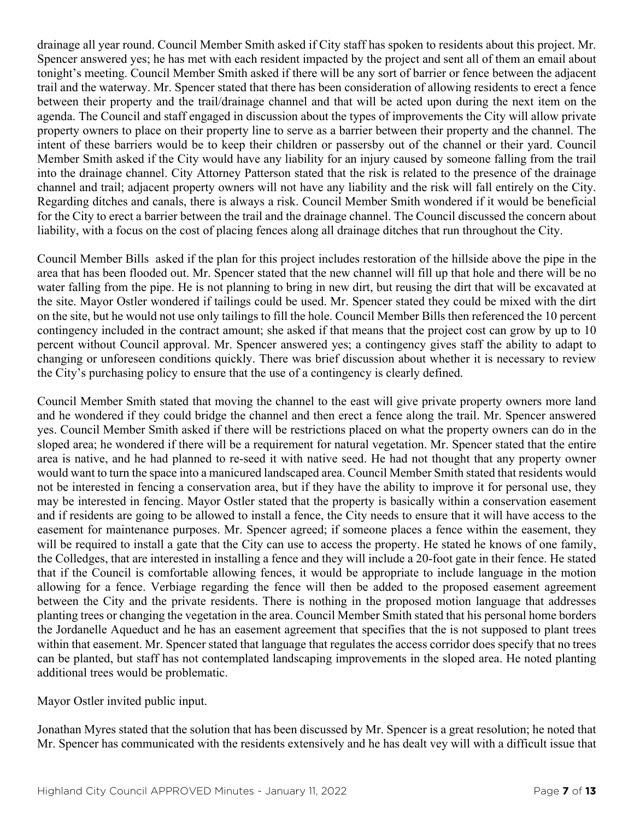drainage all year round. Council Member Smith asked if City staff has spoken to residents about this project. Mr. Spencer answered yes; he has met with each resident impacted by the project and sent all of them an email about tonight's meeting. Council Member Smith asked if there will be any sort of barrier or fence between the adjacent trail and the waterway. Mr. Spencer stated that there has been consideration of allowing residents to erect a fence between their property and the trail/drainage channel and that will be acted upon during the next item on the agenda. The Council and staff engaged in discussion about the types of improvements the City will allow private property owners to place on their property line to serve as a barrier between their property and the channel. The intent of these barriers would be to keep their children or passersby out of the channel or their yard. Council Member Smith asked if the City would have any liability for an injury caused by someone falling from the trail into the drainage channel. City Attorney Patterson stated that the risk is related to the presence of the drainage channel and trail; adjacent property owners will not have any liability and the risk will fall entirely on the City. Regarding ditches and canals, there is always a risk. Council Member Smith wondered if it would be beneficial for the City to erect a barrier between the trail and the drainage channel. The Council discussed the concern about liability, with a focus on the cost of placing fences along all drainage ditches that run throughout the City.

Council Member Bills asked if the plan for this project includes restoration of the hillside above the pipe in the area that has been flooded out. Mr. Spencer stated that the new channel will fill up that hole and there will be no water falling from the pipe. He is not planning to bring in new dirt, but reusing the dirt that will be excavated at the site. Mayor Ostler wondered if tailings could be used. Mr. Spencer stated they could be mixed with the dirt on the site, but he would not use only tailings to fill the hole. Council Member Bills then referenced the 10 percent contingency included in the contract amount; she asked if that means that the project cost can grow by up to 10 percent without Council approval. Mr. Spencer answered yes; a contingency gives staff the ability to adapt to changing or unforeseen conditions quickly. There was brief discussion about whether it is necessary to review the City's purchasing policy to ensure that the use of a contingency is clearly defined.

Council Member Smith stated that moving the channel to the east will give private property owners more land and he wondered if they could bridge the channel and then erect a fence along the trail. Mr. Spencer answered yes. Council Member Smith asked if there will be restrictions placed on what the property owners can do in the sloped area; he wondered if there will be a requirement for natural vegetation. Mr. Spencer stated that the entire area is native, and he had planned to re-seed it with native seed. He had not thought that any property owner would want to turn the space into a manicured landscaped area. Council Member Smith stated that residents would not be interested in fencing a conservation area, but if they have the ability to improve it for personal use, they may be interested in fencing. Mayor Ostler stated that the property is basically within a conservation easement and if residents are going to be allowed to install a fence, the City needs to ensure that it will have access to the easement for maintenance purposes. Mr. Spencer agreed; if someone places a fence within the easement, they will be required to install a gate that the City can use to access the property. He stated he knows of one family, the Colledges, that are interested in installing a fence and they will include a 20-foot gate in their fence. He stated that if the Council is comfortable allowing fences, it would be appropriate to include language in the motion allowing for a fence. Verbiage regarding the fence will then be added to the proposed easement agreement between the City and the private residents. There is nothing in the proposed motion language that addresses planting trees or changing the vegetation in the area. Council Member Smith stated that his personal home borders the Jordanelle Aqueduct and he has an easement agreement that specifies that the is not supposed to plant trees within that easement. Mr. Spencer stated that language that regulates the access corridor does specify that no trees can be planted, but staff has not contemplated landscaping improvements in the sloped area. He noted planting additional trees would be problematic.

Mayor Ostler invited public input.

Jonathan Myres stated that the solution that has been discussed by Mr. Spencer is a great resolution; he noted that Mr. Spencer has communicated with the residents extensively and he has dealt vey will with a difficult issue that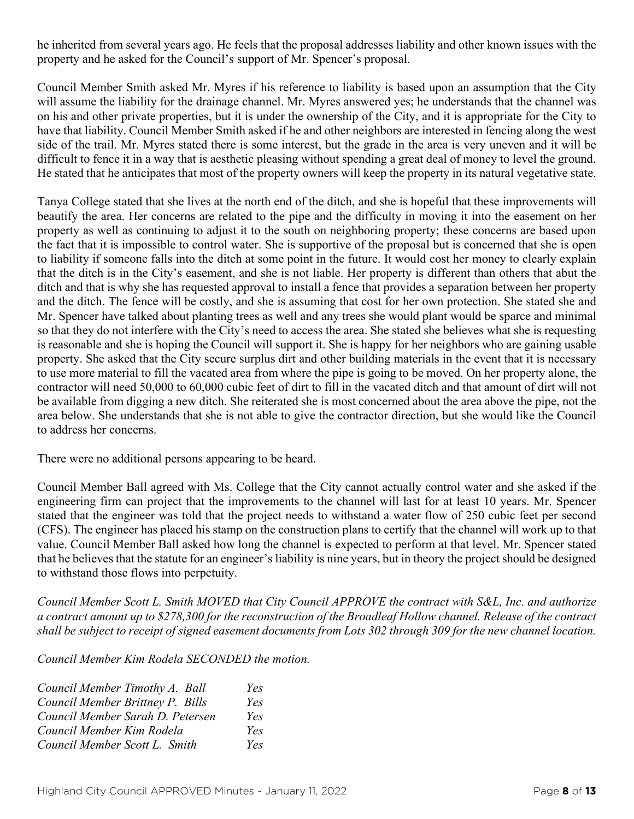he inherited from several years ago. He feels that the proposal addresses liability and other known issues with the property and he asked for the Council's support of Mr. Spencer's proposal.

Council Member Smith asked Mr. Myres if his reference to liability is based upon an assumption that the City will assume the liability for the drainage channel. Mr. Myres answered yes; he understands that the channel was on his and other private properties, but it is under the ownership of the City, and it is appropriate for the City to have that liability. Council Member Smith asked if he and other neighbors are interested in fencing along the west side of the trail. Mr. Myres stated there is some interest, but the grade in the area is very uneven and it will be difficult to fence it in a way that is aesthetic pleasing without spending a great deal of money to level the ground. He stated that he anticipates that most of the property owners will keep the property in its natural vegetative state.

Tanya College stated that she lives at the north end of the ditch, and she is hopeful that these improvements will beautify the area. Her concerns are related to the pipe and the difficulty in moving it into the easement on her property as well as continuing to adjust it to the south on neighboring property; these concerns are based upon the fact that it is impossible to control water. She is supportive of the proposal but is concerned that she is open to liability if someone falls into the ditch at some point in the future. It would cost her money to clearly explain that the ditch is in the City's easement, and she is not liable. Her property is different than others that abut the ditch and that is why she has requested approval to install a fence that provides a separation between her property and the ditch. The fence will be costly, and she is assuming that cost for her own protection. She stated she and Mr. Spencer have talked about planting trees as well and any trees she would plant would be sparce and minimal so that they do not interfere with the City's need to access the area. She stated she believes what she is requesting is reasonable and she is hoping the Council will support it. She is happy for her neighbors who are gaining usable property. She asked that the City secure surplus dirt and other building materials in the event that it is necessary to use more material to fill the vacated area from where the pipe is going to be moved. On her property alone, the contractor will need 50,000 to 60,000 cubic feet of dirt to fill in the vacated ditch and that amount of dirt will not be available from digging a new ditch. She reiterated she is most concerned about the area above the pipe, not the area below. She understands that she is not able to give the contractor direction, but she would like the Council to address her concerns.

There were no additional persons appearing to be heard.

Council Member Ball agreed with Ms. College that the City cannot actually control water and she asked if the engineering firm can project that the improvements to the channel will last for at least 10 years. Mr. Spencer stated that the engineer was told that the project needs to withstand a water flow of 250 cubic feet per second (CFS). The engineer has placed his stamp on the construction plans to certify that the channel will work up to that value. Council Member Ball asked how long the channel is expected to perform at that level. Mr. Spencer stated that he believes that the statute for an engineer's liability is nine years, but in theory the project should be designed to withstand those flows into perpetuity.

*Council Member Scott L. Smith MOVED that City Council APPROVE the contract with S&L, Inc. and authorize a contract amount up to \$278,300 for the reconstruction of the Broadleaf Hollow channel. Release of the contract shall be subject to receipt of signed easement documents from Lots 302 through 309 for the new channel location.*

*Council Member Kim Rodela SECONDED the motion.*

| Council Member Timothy A. Ball   | Yes |
|----------------------------------|-----|
| Council Member Brittney P. Bills | Yes |
| Council Member Sarah D. Petersen | Yes |
| Council Member Kim Rodela        | Yes |
| Council Member Scott L. Smith    | Yes |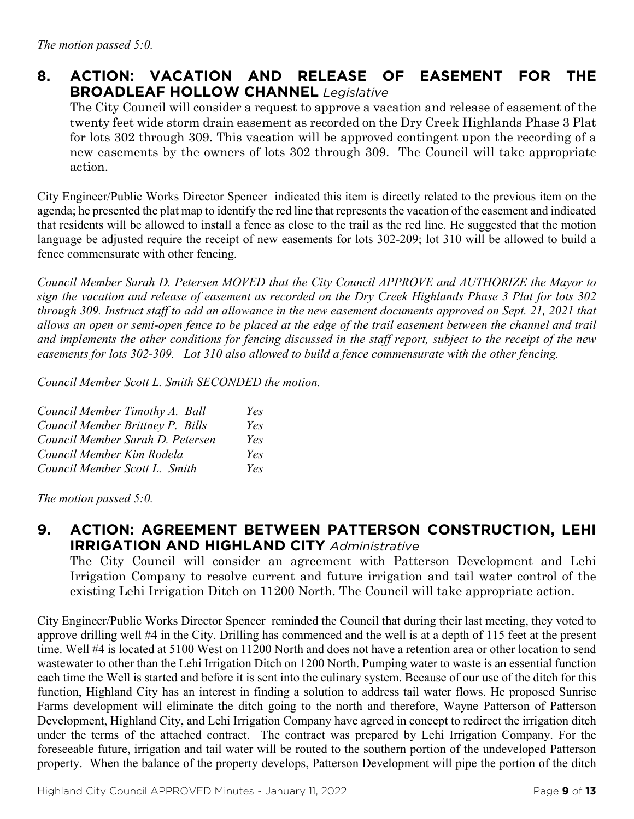## **8. ACTION: VACATION AND RELEASE OF EASEMENT FOR THE BROADLEAF HOLLOW CHANNEL** *Legislative*

The City Council will consider a request to approve a vacation and release of easement of the twenty feet wide storm drain easement as recorded on the Dry Creek Highlands Phase 3 Plat for lots 302 through 309. This vacation will be approved contingent upon the recording of a new easements by the owners of lots 302 through 309. The Council will take appropriate action.

City Engineer/Public Works Director Spencer indicated this item is directly related to the previous item on the agenda; he presented the plat map to identify the red line that represents the vacation of the easement and indicated that residents will be allowed to install a fence as close to the trail as the red line. He suggested that the motion language be adjusted require the receipt of new easements for lots 302-209; lot 310 will be allowed to build a fence commensurate with other fencing.

*Council Member Sarah D. Petersen MOVED that the City Council APPROVE and AUTHORIZE the Mayor to sign the vacation and release of easement as recorded on the Dry Creek Highlands Phase 3 Plat for lots 302 through 309. Instruct staff to add an allowance in the new easement documents approved on Sept. 21, 2021 that allows an open or semi-open fence to be placed at the edge of the trail easement between the channel and trail and implements the other conditions for fencing discussed in the staff report, subject to the receipt of the new easements for lots 302-309. Lot 310 also allowed to build a fence commensurate with the other fencing.*

*Council Member Scott L. Smith SECONDED the motion.*

| Council Member Timothy A. Ball   | Yes |
|----------------------------------|-----|
| Council Member Brittney P. Bills | Yes |
| Council Member Sarah D. Petersen | Yes |
| Council Member Kim Rodela        | Yes |
| Council Member Scott L. Smith    | Yes |

*The motion passed 5:0.* 

**9. ACTION: AGREEMENT BETWEEN PATTERSON CONSTRUCTION, LEHI IRRIGATION AND HIGHLAND CITY** *Administrative*

The City Council will consider an agreement with Patterson Development and Lehi Irrigation Company to resolve current and future irrigation and tail water control of the existing Lehi Irrigation Ditch on 11200 North. The Council will take appropriate action.

City Engineer/Public Works Director Spencer reminded the Council that during their last meeting, they voted to approve drilling well #4 in the City. Drilling has commenced and the well is at a depth of 115 feet at the present time. Well #4 is located at 5100 West on 11200 North and does not have a retention area or other location to send wastewater to other than the Lehi Irrigation Ditch on 1200 North. Pumping water to waste is an essential function each time the Well is started and before it is sent into the culinary system. Because of our use of the ditch for this function, Highland City has an interest in finding a solution to address tail water flows. He proposed Sunrise Farms development will eliminate the ditch going to the north and therefore, Wayne Patterson of Patterson Development, Highland City, and Lehi Irrigation Company have agreed in concept to redirect the irrigation ditch under the terms of the attached contract. The contract was prepared by Lehi Irrigation Company. For the foreseeable future, irrigation and tail water will be routed to the southern portion of the undeveloped Patterson property. When the balance of the property develops, Patterson Development will pipe the portion of the ditch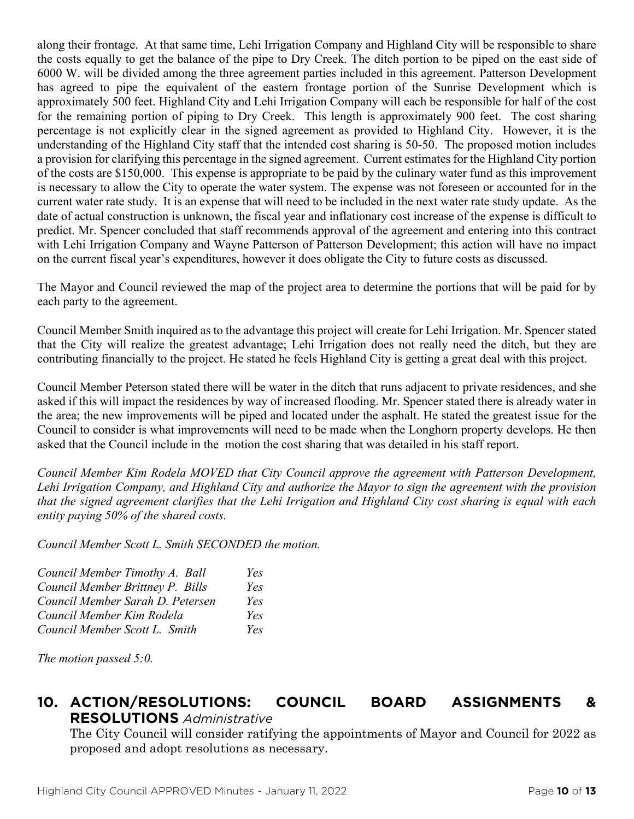along their frontage. At that same time, Lehi Irrigation Company and Highland City will be responsible to share the costs equally to get the balance of the pipe to Dry Creek. The ditch portion to be piped on the east side of 6000 W. will be divided among the three agreement parties included in this agreement. Patterson Development has agreed to pipe the equivalent of the eastern frontage portion of the Sunrise Development which is approximately 500 feet. Highland City and Lehi Irrigation Company will each be responsible for half of the cost for the remaining portion of piping to Dry Creek. This length is approximately 900 feet. The cost sharing percentage is not explicitly clear in the signed agreement as provided to Highland City. However, it is the understanding of the Highland City staff that the intended cost sharing is 50-50. The proposed motion includes a provision for clarifying this percentage in the signed agreement. Current estimates for the Highland City portion of the costs are \$150,000. This expense is appropriate to be paid by the culinary water fund as this improvement is necessary to allow the City to operate the water system. The expense was not foreseen or accounted for in the current water rate study. It is an expense that will need to be included in the next water rate study update. As the date of actual construction is unknown, the fiscal year and inflationary cost increase of the expense is difficult to predict. Mr. Spencer concluded that staff recommends approval of the agreement and entering into this contract with Lehi Irrigation Company and Wayne Patterson of Patterson Development; this action will have no impact on the current fiscal year's expenditures, however it does obligate the City to future costs as discussed.

The Mayor and Council reviewed the map of the project area to determine the portions that will be paid for by each party to the agreement.

Council Member Smith inquired as to the advantage this project will create for Lehi Irrigation. Mr. Spencer stated that the City will realize the greatest advantage; Lehi Irrigation does not really need the ditch, but they are contributing financially to the project. He stated he feels Highland City is getting a great deal with this project.

Council Member Peterson stated there will be water in the ditch that runs adjacent to private residences, and she asked if this will impact the residences by way of increased flooding. Mr. Spencer stated there is already water in the area; the new improvements will be piped and located under the asphalt. He stated the greatest issue for the Council to consider is what improvements will need to be made when the Longhorn property develops. He then asked that the Council include in the motion the cost sharing that was detailed in his staff report.

*Council Member Kim Rodela MOVED that City Council approve the agreement with Patterson Development, Lehi Irrigation Company, and Highland City and authorize the Mayor to sign the agreement with the provision that the signed agreement clarifies that the Lehi Irrigation and Highland City cost sharing is equal with each entity paying 50% of the shared costs.*

*Council Member Scott L. Smith SECONDED the motion.*

| Council Member Timothy A. Ball   | Yes |
|----------------------------------|-----|
| Council Member Brittney P. Bills | Yes |
| Council Member Sarah D. Petersen | Yes |
| Council Member Kim Rodela        | Yes |
| Council Member Scott L. Smith    | Yes |

*The motion passed 5:0.* 

## **10. ACTION/RESOLUTIONS: COUNCIL BOARD ASSIGNMENTS & RESOLUTIONS** *Administrative*

The City Council will consider ratifying the appointments of Mayor and Council for 2022 as proposed and adopt resolutions as necessary.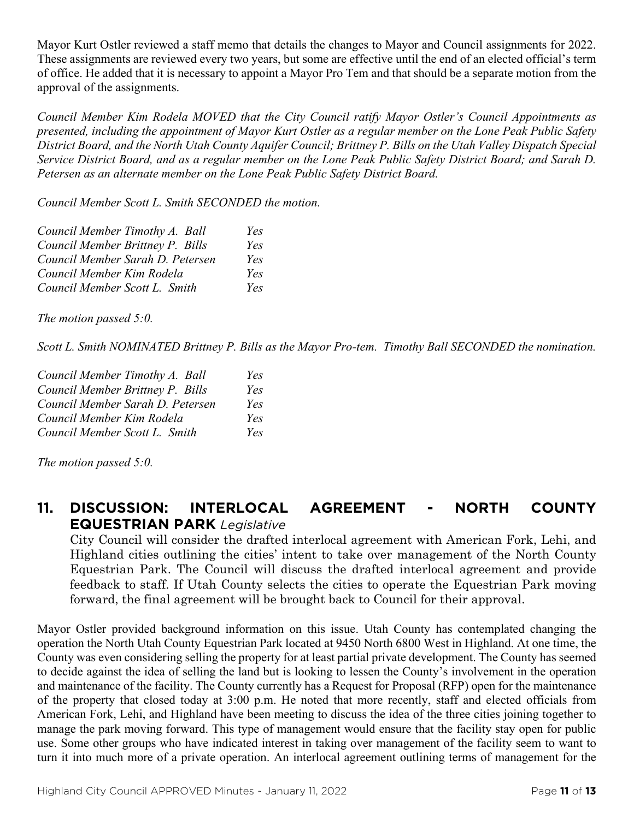Mayor Kurt Ostler reviewed a staff memo that details the changes to Mayor and Council assignments for 2022. These assignments are reviewed every two years, but some are effective until the end of an elected official's term of office. He added that it is necessary to appoint a Mayor Pro Tem and that should be a separate motion from the approval of the assignments.

*Council Member Kim Rodela MOVED that the City Council ratify Mayor Ostler's Council Appointments as presented, including the appointment of Mayor Kurt Ostler as a regular member on the Lone Peak Public Safety District Board, and the North Utah County Aquifer Council; Brittney P. Bills on the Utah Valley Dispatch Special Service District Board, and as a regular member on the Lone Peak Public Safety District Board; and Sarah D. Petersen as an alternate member on the Lone Peak Public Safety District Board.*

*Council Member Scott L. Smith SECONDED the motion.*

| Council Member Timothy A. Ball   | Yes |
|----------------------------------|-----|
| Council Member Brittney P. Bills | Yes |
| Council Member Sarah D. Petersen | Yes |
| Council Member Kim Rodela        | Yes |
| Council Member Scott L. Smith    | Yes |

*The motion passed 5:0.* 

*Scott L. Smith NOMINATED Brittney P. Bills as the Mayor Pro-tem. Timothy Ball SECONDED the nomination.*

| Council Member Timothy A. Ball   | Yes |
|----------------------------------|-----|
| Council Member Brittney P. Bills | Yes |
| Council Member Sarah D. Petersen | Yes |
| Council Member Kim Rodela        | Yes |
| Council Member Scott L. Smith    | Yes |

*The motion passed 5:0.* 

## **11. DISCUSSION: INTERLOCAL AGREEMENT - NORTH COUNTY EQUESTRIAN PARK** *Legislative*

City Council will consider the drafted interlocal agreement with American Fork, Lehi, and Highland cities outlining the cities' intent to take over management of the North County Equestrian Park. The Council will discuss the drafted interlocal agreement and provide feedback to staff. If Utah County selects the cities to operate the Equestrian Park moving forward, the final agreement will be brought back to Council for their approval.

Mayor Ostler provided background information on this issue. Utah County has contemplated changing the operation the North Utah County Equestrian Park located at 9450 North 6800 West in Highland. At one time, the County was even considering selling the property for at least partial private development. The County has seemed to decide against the idea of selling the land but is looking to lessen the County's involvement in the operation and maintenance of the facility. The County currently has a Request for Proposal (RFP) open for the maintenance of the property that closed today at 3:00 p.m. He noted that more recently, staff and elected officials from American Fork, Lehi, and Highland have been meeting to discuss the idea of the three cities joining together to manage the park moving forward. This type of management would ensure that the facility stay open for public use. Some other groups who have indicated interest in taking over management of the facility seem to want to turn it into much more of a private operation. An interlocal agreement outlining terms of management for the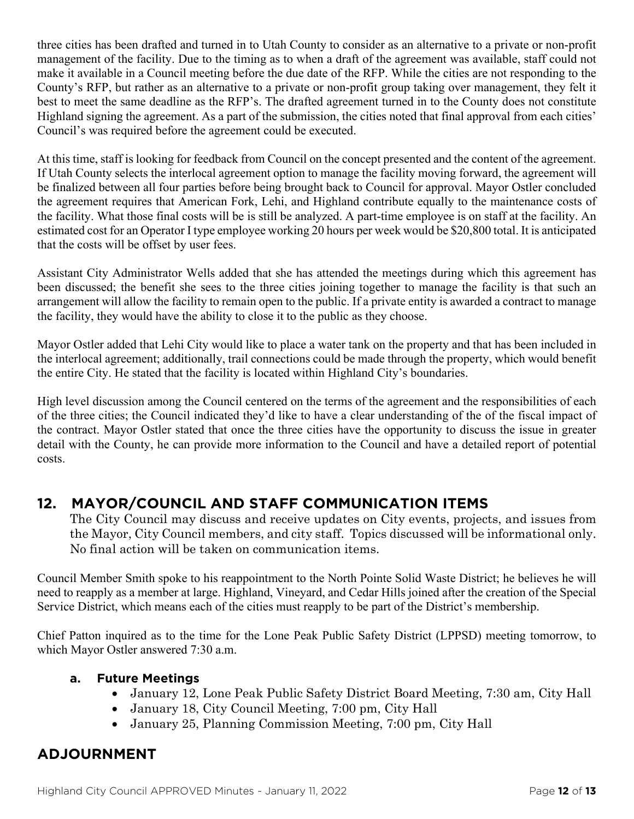three cities has been drafted and turned in to Utah County to consider as an alternative to a private or non-profit management of the facility. Due to the timing as to when a draft of the agreement was available, staff could not make it available in a Council meeting before the due date of the RFP. While the cities are not responding to the County's RFP, but rather as an alternative to a private or non-profit group taking over management, they felt it best to meet the same deadline as the RFP's. The drafted agreement turned in to the County does not constitute Highland signing the agreement. As a part of the submission, the cities noted that final approval from each cities' Council's was required before the agreement could be executed.

At this time, staff is looking for feedback from Council on the concept presented and the content of the agreement. If Utah County selects the interlocal agreement option to manage the facility moving forward, the agreement will be finalized between all four parties before being brought back to Council for approval. Mayor Ostler concluded the agreement requires that American Fork, Lehi, and Highland contribute equally to the maintenance costs of the facility. What those final costs will be is still be analyzed. A part-time employee is on staff at the facility. An estimated cost for an Operator I type employee working 20 hours per week would be \$20,800 total. It is anticipated that the costs will be offset by user fees.

Assistant City Administrator Wells added that she has attended the meetings during which this agreement has been discussed; the benefit she sees to the three cities joining together to manage the facility is that such an arrangement will allow the facility to remain open to the public. If a private entity is awarded a contract to manage the facility, they would have the ability to close it to the public as they choose.

Mayor Ostler added that Lehi City would like to place a water tank on the property and that has been included in the interlocal agreement; additionally, trail connections could be made through the property, which would benefit the entire City. He stated that the facility is located within Highland City's boundaries.

High level discussion among the Council centered on the terms of the agreement and the responsibilities of each of the three cities; the Council indicated they'd like to have a clear understanding of the of the fiscal impact of the contract. Mayor Ostler stated that once the three cities have the opportunity to discuss the issue in greater detail with the County, he can provide more information to the Council and have a detailed report of potential costs.

## **12. MAYOR/COUNCIL AND STAFF COMMUNICATION ITEMS**

The City Council may discuss and receive updates on City events, projects, and issues from the Mayor, City Council members, and city staff. Topics discussed will be informational only. No final action will be taken on communication items.

Council Member Smith spoke to his reappointment to the North Pointe Solid Waste District; he believes he will need to reapply as a member at large. Highland, Vineyard, and Cedar Hills joined after the creation of the Special Service District, which means each of the cities must reapply to be part of the District's membership.

Chief Patton inquired as to the time for the Lone Peak Public Safety District (LPPSD) meeting tomorrow, to which Mayor Ostler answered 7:30 a.m.

### **a. Future Meetings**

- January 12, Lone Peak Public Safety District Board Meeting, 7:30 am, City Hall
- January 18, City Council Meeting, 7:00 pm, City Hall
- January 25, Planning Commission Meeting, 7:00 pm, City Hall

# **ADJOURNMENT**